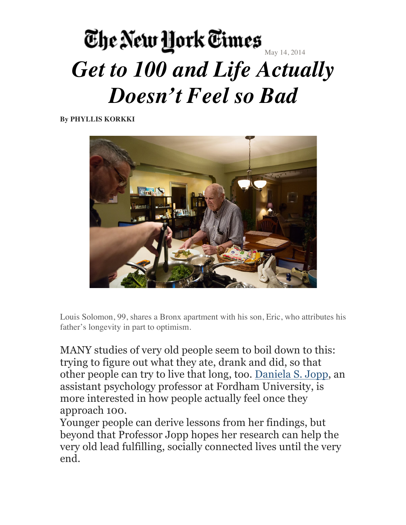#### The New York Times *Get to 100 and Life Actually Doesn't Feel so Bad*

**By PHYLLIS KORKKI**



Louis Solomon, 99, shares a Bronx apartment with his son, Eric, who attributes his father's longevity in part to optimism.

MANY studies of very old people seem to boil down to this: trying to figure out what they ate, drank and did, so that other people can try to live that long, too. Daniela S. Jopp, an assistant psychology professor at Fordham University, is more interested in how people actually feel once they approach 100.

Younger people can derive lessons from her findings, but beyond that Professor Jopp hopes her research can help the very old lead fulfilling, socially connected lives until the very end.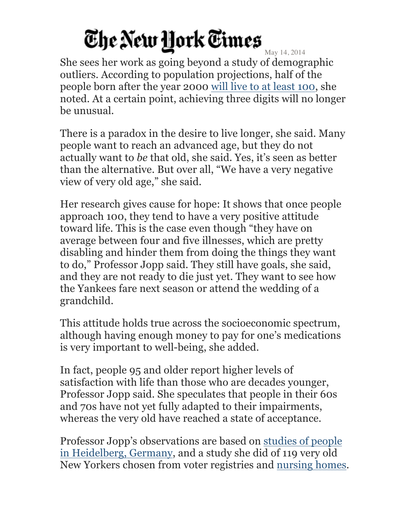May 14, 2014 She sees her work as going beyond a study of demographic outliers. According to population projections, half of the people born after the year 2000 will live to at least 100, she noted. At a certain point, achieving three digits will no longer be unusual.

There is a paradox in the desire to live longer, she said. Many people want to reach an advanced age, but they do not actually want to *be* that old, she said. Yes, it's seen as better than the alternative. But over all, "We have a very negative view of very old age," she said.

Her research gives cause for hope: It shows that once people approach 100, they tend to have a very positive attitude toward life. This is the case even though "they have on average between four and five illnesses, which are pretty disabling and hinder them from doing the things they want to do," Professor Jopp said. They still have goals, she said, and they are not ready to die just yet. They want to see how the Yankees fare next season or attend the wedding of a grandchild.

This attitude holds true across the socioeconomic spectrum, although having enough money to pay for one's medications is very important to well-being, she added.

In fact, people 95 and older report higher levels of satisfaction with life than those who are decades younger, Professor Jopp said. She speculates that people in their 60s and 70s have not yet fully adapted to their impairments, whereas the very old have reached a state of acceptance.

Professor Jopp's observations are based on studies of people in Heidelberg, Germany, and a study she did of 119 very old New Yorkers chosen from voter registries and nursing homes.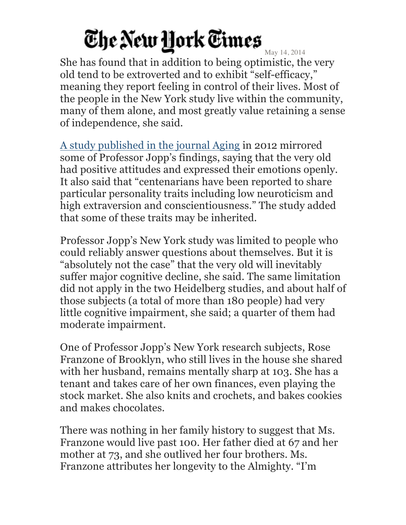May 14, 2014 She has found that in addition to being optimistic, the very old tend to be extroverted and to exhibit "self-efficacy," meaning they report feeling in control of their lives. Most of the people in the New York study live within the community, many of them alone, and most greatly value retaining a sense of independence, she said.

A study published in the journal Aging in 2012 mirrored some of Professor Jopp's findings, saying that the very old had positive attitudes and expressed their emotions openly. It also said that "centenarians have been reported to share particular personality traits including low neuroticism and high extraversion and conscientiousness." The study added that some of these traits may be inherited.

Professor Jopp's New York study was limited to people who could reliably answer questions about themselves. But it is "absolutely not the case" that the very old will inevitably suffer major cognitive decline, she said. The same limitation did not apply in the two Heidelberg studies, and about half of those subjects (a total of more than 180 people) had very little cognitive impairment, she said; a quarter of them had moderate impairment.

One of Professor Jopp's New York research subjects, Rose Franzone of Brooklyn, who still lives in the house she shared with her husband, remains mentally sharp at 103. She has a tenant and takes care of her own finances, even playing the stock market. She also knits and crochets, and bakes cookies and makes chocolates.

There was nothing in her family history to suggest that Ms. Franzone would live past 100. Her father died at 67 and her mother at 73, and she outlived her four brothers. Ms. Franzone attributes her longevity to the Almighty. "I'm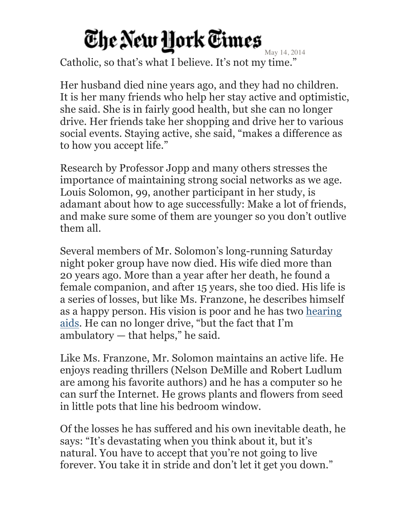May 14, 2014 Catholic, so that's what I believe. It's not my time."

Her husband died nine years ago, and they had no children. It is her many friends who help her stay active and optimistic, she said. She is in fairly good health, but she can no longer drive. Her friends take her shopping and drive her to various social events. Staying active, she said, "makes a difference as to how you accept life."

Research by Professor Jopp and many others stresses the importance of maintaining strong social networks as we age. Louis Solomon, 99, another participant in her study, is adamant about how to age successfully: Make a lot of friends, and make sure some of them are younger so you don't outlive them all.

Several members of Mr. Solomon's long-running Saturday night poker group have now died. His wife died more than 20 years ago. More than a year after her death, he found a female companion, and after 15 years, she too died. His life is a series of losses, but like Ms. Franzone, he describes himself as a happy person. His vision is poor and he has two hearing aids. He can no longer drive, "but the fact that I'm ambulatory — that helps," he said.

Like Ms. Franzone, Mr. Solomon maintains an active life. He enjoys reading thrillers (Nelson DeMille and Robert Ludlum are among his favorite authors) and he has a computer so he can surf the Internet. He grows plants and flowers from seed in little pots that line his bedroom window.

Of the losses he has suffered and his own inevitable death, he says: "It's devastating when you think about it, but it's natural. You have to accept that you're not going to live forever. You take it in stride and don't let it get you down."